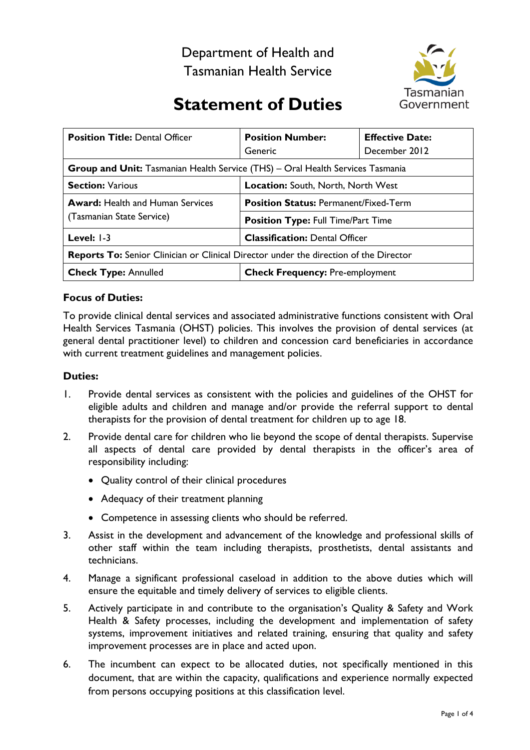Department of Health and Tasmanian Health Service



# **Statement of Duties**

| <b>Position Title: Dental Officer</b>                                                        | <b>Position Number:</b><br>Generic           | <b>Effective Date:</b><br>December 2012 |
|----------------------------------------------------------------------------------------------|----------------------------------------------|-----------------------------------------|
| <b>Group and Unit:</b> Tasmanian Health Service (THS) – Oral Health Services Tasmania        |                                              |                                         |
| <b>Section: Various</b>                                                                      | Location: South, North, North West           |                                         |
| <b>Award:</b> Health and Human Services<br>(Tasmanian State Service)                         | <b>Position Status: Permanent/Fixed-Term</b> |                                         |
|                                                                                              | <b>Position Type: Full Time/Part Time</b>    |                                         |
| Level: $1-3$                                                                                 | <b>Classification: Dental Officer</b>        |                                         |
| <b>Reports To:</b> Senior Clinician or Clinical Director under the direction of the Director |                                              |                                         |
| <b>Check Type: Annulled</b>                                                                  | <b>Check Frequency: Pre-employment</b>       |                                         |

## **Focus of Duties:**

To provide clinical dental services and associated administrative functions consistent with Oral Health Services Tasmania (OHST) policies. This involves the provision of dental services (at general dental practitioner level) to children and concession card beneficiaries in accordance with current treatment guidelines and management policies.

#### **Duties:**

- 1. Provide dental services as consistent with the policies and guidelines of the OHST for eligible adults and children and manage and/or provide the referral support to dental therapists for the provision of dental treatment for children up to age 18.
- 2. Provide dental care for children who lie beyond the scope of dental therapists. Supervise all aspects of dental care provided by dental therapists in the officer's area of responsibility including:
	- Quality control of their clinical procedures
	- Adequacy of their treatment planning
	- Competence in assessing clients who should be referred.
- 3. Assist in the development and advancement of the knowledge and professional skills of other staff within the team including therapists, prosthetists, dental assistants and technicians.
- 4. Manage a significant professional caseload in addition to the above duties which will ensure the equitable and timely delivery of services to eligible clients.
- 5. Actively participate in and contribute to the organisation's Quality & Safety and Work Health & Safety processes, including the development and implementation of safety systems, improvement initiatives and related training, ensuring that quality and safety improvement processes are in place and acted upon.
- 6. The incumbent can expect to be allocated duties, not specifically mentioned in this document, that are within the capacity, qualifications and experience normally expected from persons occupying positions at this classification level.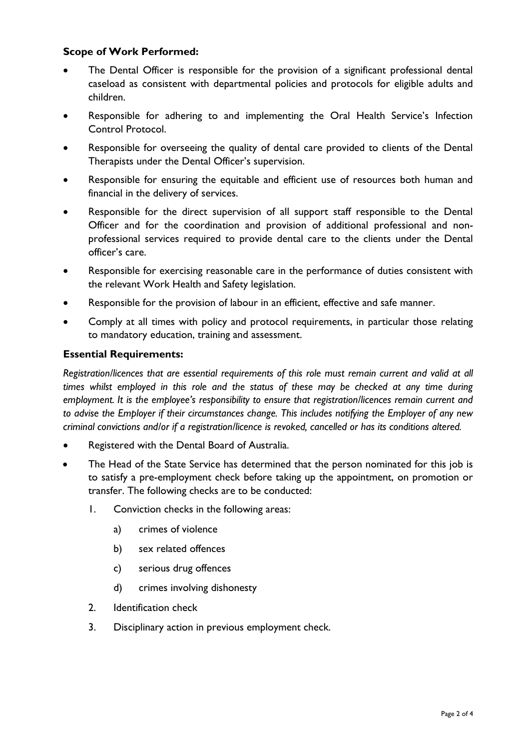# **Scope of Work Performed:**

- The Dental Officer is responsible for the provision of a significant professional dental caseload as consistent with departmental policies and protocols for eligible adults and children.
- Responsible for adhering to and implementing the Oral Health Service's Infection Control Protocol.
- Responsible for overseeing the quality of dental care provided to clients of the Dental Therapists under the Dental Officer's supervision.
- Responsible for ensuring the equitable and efficient use of resources both human and financial in the delivery of services.
- Responsible for the direct supervision of all support staff responsible to the Dental Officer and for the coordination and provision of additional professional and nonprofessional services required to provide dental care to the clients under the Dental officer's care.
- Responsible for exercising reasonable care in the performance of duties consistent with the relevant Work Health and Safety legislation.
- Responsible for the provision of labour in an efficient, effective and safe manner.
- Comply at all times with policy and protocol requirements, in particular those relating to mandatory education, training and assessment.

## **Essential Requirements:**

*Registration/licences that are essential requirements of this role must remain current and valid at all times whilst employed in this role and the status of these may be checked at any time during employment. It is the employee's responsibility to ensure that registration/licences remain current and to advise the Employer if their circumstances change. This includes notifying the Employer of any new criminal convictions and/or if a registration/licence is revoked, cancelled or has its conditions altered.*

- Registered with the Dental Board of Australia.
- The Head of the State Service has determined that the person nominated for this job is to satisfy a pre-employment check before taking up the appointment, on promotion or transfer. The following checks are to be conducted:
	- 1. Conviction checks in the following areas:
		- a) crimes of violence
		- b) sex related offences
		- c) serious drug offences
		- d) crimes involving dishonesty
	- 2. Identification check
	- 3. Disciplinary action in previous employment check.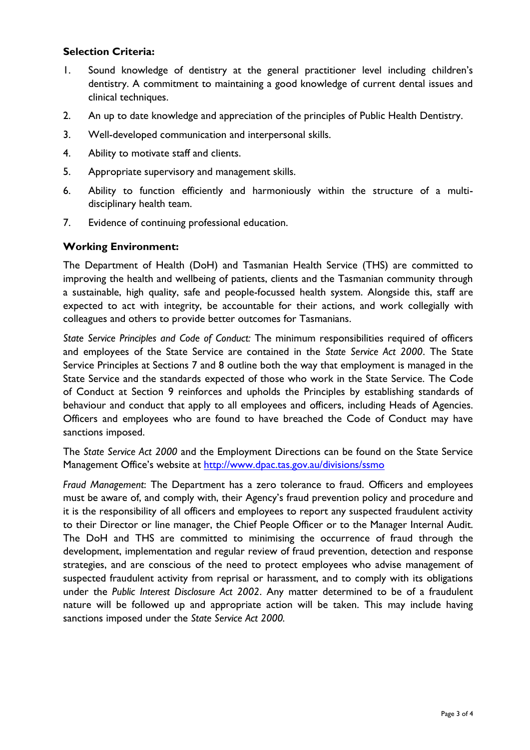# **Selection Criteria:**

- 1. Sound knowledge of dentistry at the general practitioner level including children's dentistry. A commitment to maintaining a good knowledge of current dental issues and clinical techniques.
- 2. An up to date knowledge and appreciation of the principles of Public Health Dentistry.
- 3. Well-developed communication and interpersonal skills.
- 4. Ability to motivate staff and clients.
- 5. Appropriate supervisory and management skills.
- 6. Ability to function efficiently and harmoniously within the structure of a multidisciplinary health team.
- 7. Evidence of continuing professional education.

#### **Working Environment:**

The Department of Health (DoH) and Tasmanian Health Service (THS) are committed to improving the health and wellbeing of patients, clients and the Tasmanian community through a sustainable, high quality, safe and people-focussed health system. Alongside this, staff are expected to act with integrity, be accountable for their actions, and work collegially with colleagues and others to provide better outcomes for Tasmanians.

*State Service Principles and Code of Conduct:* The minimum responsibilities required of officers and employees of the State Service are contained in the *State Service Act 2000*. The State Service Principles at Sections 7 and 8 outline both the way that employment is managed in the State Service and the standards expected of those who work in the State Service. The Code of Conduct at Section 9 reinforces and upholds the Principles by establishing standards of behaviour and conduct that apply to all employees and officers, including Heads of Agencies. Officers and employees who are found to have breached the Code of Conduct may have sanctions imposed.

The *State Service Act 2000* and the Employment Directions can be found on the State Service Management Office's website at<http://www.dpac.tas.gov.au/divisions/ssmo>

*Fraud Management*: The Department has a zero tolerance to fraud. Officers and employees must be aware of, and comply with, their Agency's fraud prevention policy and procedure and it is the responsibility of all officers and employees to report any suspected fraudulent activity to their Director or line manager, the Chief People Officer or to the Manager Internal Audit. The DoH and THS are committed to minimising the occurrence of fraud through the development, implementation and regular review of fraud prevention, detection and response strategies, and are conscious of the need to protect employees who advise management of suspected fraudulent activity from reprisal or harassment, and to comply with its obligations under the *Public Interest Disclosure Act 2002*. Any matter determined to be of a fraudulent nature will be followed up and appropriate action will be taken. This may include having sanctions imposed under the *State Service Act 2000.*